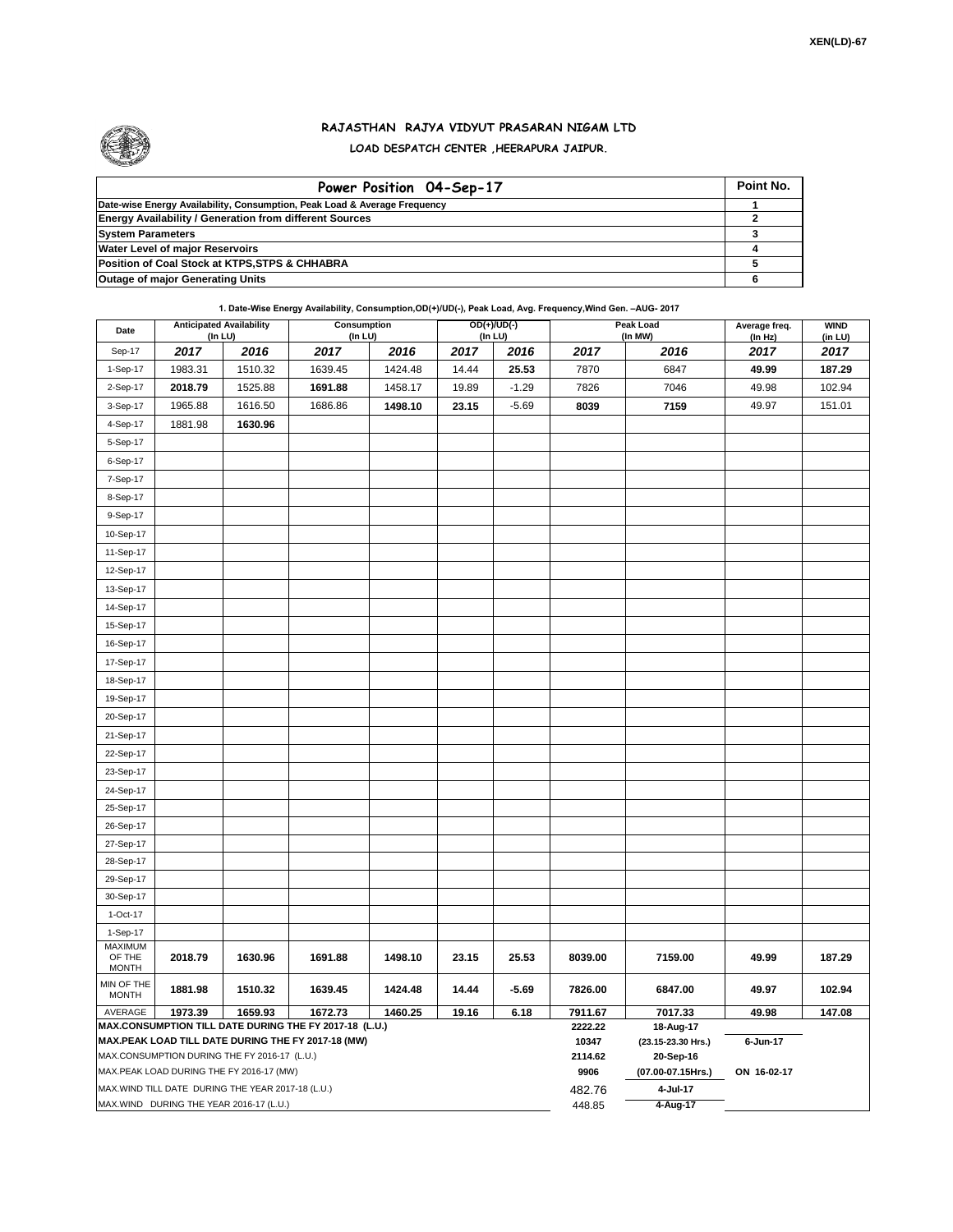

## **RAJASTHAN RAJYA VIDYUT PRASARAN NIGAM LTD LOAD DESPATCH CENTER ,HEERAPURA JAIPUR.**

| Power Position 04-Sep-17                                                  | Point No. |
|---------------------------------------------------------------------------|-----------|
| Date-wise Energy Availability, Consumption, Peak Load & Average Frequency |           |
| <b>Energy Availability / Generation from different Sources</b>            |           |
| <b>System Parameters</b>                                                  |           |
| <b>Water Level of major Reservoirs</b>                                    |           |
| Position of Coal Stock at KTPS, STPS & CHHABRA                            |           |
| <b>Outage of major Generating Units</b>                                   |           |

**1. Date-Wise Energy Availability, Consumption,OD(+)/UD(-), Peak Load, Avg. Frequency,Wind Gen. –AUG- 2017**

| Date                                     | $($ In LU $)$ | <b>Anticipated Availability</b>                   | Consumption<br>(In LU)                                                                                       |         |       | OD(+)/UD(-)<br>(In LU) |                  | Peak Load<br>(In MW)            | Average freq.<br>(In Hz) | <b>WIND</b><br>(in LU) |  |  |  |
|------------------------------------------|---------------|---------------------------------------------------|--------------------------------------------------------------------------------------------------------------|---------|-------|------------------------|------------------|---------------------------------|--------------------------|------------------------|--|--|--|
| Sep-17                                   | 2017          | 2016                                              | 2017                                                                                                         | 2016    | 2017  | 2016                   | 2017             | 2016                            | 2017                     | 2017                   |  |  |  |
| 1-Sep-17                                 | 1983.31       | 1510.32                                           | 1639.45                                                                                                      | 1424.48 | 14.44 | 25.53                  | 7870             | 6847                            | 49.99                    | 187.29                 |  |  |  |
| 2-Sep-17                                 | 2018.79       | 1525.88                                           | 1691.88                                                                                                      | 1458.17 | 19.89 | $-1.29$                | 7826             | 7046                            | 49.98                    | 102.94                 |  |  |  |
| 3-Sep-17                                 | 1965.88       | 1616.50                                           | 1686.86                                                                                                      | 1498.10 | 23.15 | $-5.69$                | 8039             | 7159                            | 49.97                    | 151.01                 |  |  |  |
| 4-Sep-17                                 | 1881.98       | 1630.96                                           |                                                                                                              |         |       |                        |                  |                                 |                          |                        |  |  |  |
| 5-Sep-17                                 |               |                                                   |                                                                                                              |         |       |                        |                  |                                 |                          |                        |  |  |  |
| 6-Sep-17                                 |               |                                                   |                                                                                                              |         |       |                        |                  |                                 |                          |                        |  |  |  |
| 7-Sep-17                                 |               |                                                   |                                                                                                              |         |       |                        |                  |                                 |                          |                        |  |  |  |
| 8-Sep-17                                 |               |                                                   |                                                                                                              |         |       |                        |                  |                                 |                          |                        |  |  |  |
| 9-Sep-17                                 |               |                                                   |                                                                                                              |         |       |                        |                  |                                 |                          |                        |  |  |  |
| 10-Sep-17                                |               |                                                   |                                                                                                              |         |       |                        |                  |                                 |                          |                        |  |  |  |
| 11-Sep-17                                |               |                                                   |                                                                                                              |         |       |                        |                  |                                 |                          |                        |  |  |  |
| 12-Sep-17                                |               |                                                   |                                                                                                              |         |       |                        |                  |                                 |                          |                        |  |  |  |
| 13-Sep-17                                |               |                                                   |                                                                                                              |         |       |                        |                  |                                 |                          |                        |  |  |  |
| 14-Sep-17                                |               |                                                   |                                                                                                              |         |       |                        |                  |                                 |                          |                        |  |  |  |
| 15-Sep-17                                |               |                                                   |                                                                                                              |         |       |                        |                  |                                 |                          |                        |  |  |  |
| 16-Sep-17                                |               |                                                   |                                                                                                              |         |       |                        |                  |                                 |                          |                        |  |  |  |
| 17-Sep-17                                |               |                                                   |                                                                                                              |         |       |                        |                  |                                 |                          |                        |  |  |  |
| 18-Sep-17                                |               |                                                   |                                                                                                              |         |       |                        |                  |                                 |                          |                        |  |  |  |
| 19-Sep-17                                |               |                                                   |                                                                                                              |         |       |                        |                  |                                 |                          |                        |  |  |  |
| 20-Sep-17                                |               |                                                   |                                                                                                              |         |       |                        |                  |                                 |                          |                        |  |  |  |
| 21-Sep-17                                |               |                                                   |                                                                                                              |         |       |                        |                  |                                 |                          |                        |  |  |  |
| 22-Sep-17                                |               |                                                   |                                                                                                              |         |       |                        |                  |                                 |                          |                        |  |  |  |
| 23-Sep-17                                |               |                                                   |                                                                                                              |         |       |                        |                  |                                 |                          |                        |  |  |  |
| 24-Sep-17                                |               |                                                   |                                                                                                              |         |       |                        |                  |                                 |                          |                        |  |  |  |
| 25-Sep-17                                |               |                                                   |                                                                                                              |         |       |                        |                  |                                 |                          |                        |  |  |  |
| 26-Sep-17                                |               |                                                   |                                                                                                              |         |       |                        |                  |                                 |                          |                        |  |  |  |
| 27-Sep-17                                |               |                                                   |                                                                                                              |         |       |                        |                  |                                 |                          |                        |  |  |  |
| 28-Sep-17                                |               |                                                   |                                                                                                              |         |       |                        |                  |                                 |                          |                        |  |  |  |
| 29-Sep-17                                |               |                                                   |                                                                                                              |         |       |                        |                  |                                 |                          |                        |  |  |  |
| 30-Sep-17                                |               |                                                   |                                                                                                              |         |       |                        |                  |                                 |                          |                        |  |  |  |
| 1-Oct-17                                 |               |                                                   |                                                                                                              |         |       |                        |                  |                                 |                          |                        |  |  |  |
| 1-Sep-17                                 |               |                                                   |                                                                                                              |         |       |                        |                  |                                 |                          |                        |  |  |  |
| <b>MAXIMUM</b><br>OF THE<br><b>MONTH</b> | 2018.79       | 1630.96                                           | 1691.88                                                                                                      | 1498.10 | 23.15 | 25.53                  | 8039.00          | 7159.00                         | 49.99                    | 187.29                 |  |  |  |
| MIN OF THE<br><b>MONTH</b>               | 1881.98       | 1510.32                                           | 1639.45                                                                                                      | 1424.48 | 14.44 | $-5.69$                | 7826.00          | 6847.00                         | 49.97                    | 102.94                 |  |  |  |
| AVERAGE                                  | 1973.39       | 1659.93                                           | 1672.73<br>1460.25<br>19.16<br>6.18<br>7911.67                                                               |         |       |                        |                  | 7017.33                         | 49.98                    | 147.08                 |  |  |  |
|                                          |               |                                                   | MAX.CONSUMPTION TILL DATE DURING THE FY 2017-18 (L.U.)<br>MAX.PEAK LOAD TILL DATE DURING THE FY 2017-18 (MW) |         |       |                        | 2222.22<br>10347 | 18-Aug-17<br>(23.15-23.30 Hrs.) | 6-Jun-17                 |                        |  |  |  |
|                                          |               | MAX.CONSUMPTION DURING THE FY 2016-17 (L.U.)      |                                                                                                              |         |       |                        | 2114.62          | 20-Sep-16                       |                          |                        |  |  |  |
|                                          |               | MAX.PEAK LOAD DURING THE FY 2016-17 (MW)          |                                                                                                              |         |       |                        | 9906             | (07.00-07.15Hrs.)               | ON 16-02-17              |                        |  |  |  |
|                                          |               | MAX.WIND TILL DATE DURING THE YEAR 2017-18 (L.U.) |                                                                                                              |         |       |                        | 482.76           | 4-Jul-17                        |                          |                        |  |  |  |
| MAX.WIND DURING THE YEAR 2016-17 (L.U.)  |               |                                                   |                                                                                                              |         |       |                        |                  | 4-Aug-17                        |                          |                        |  |  |  |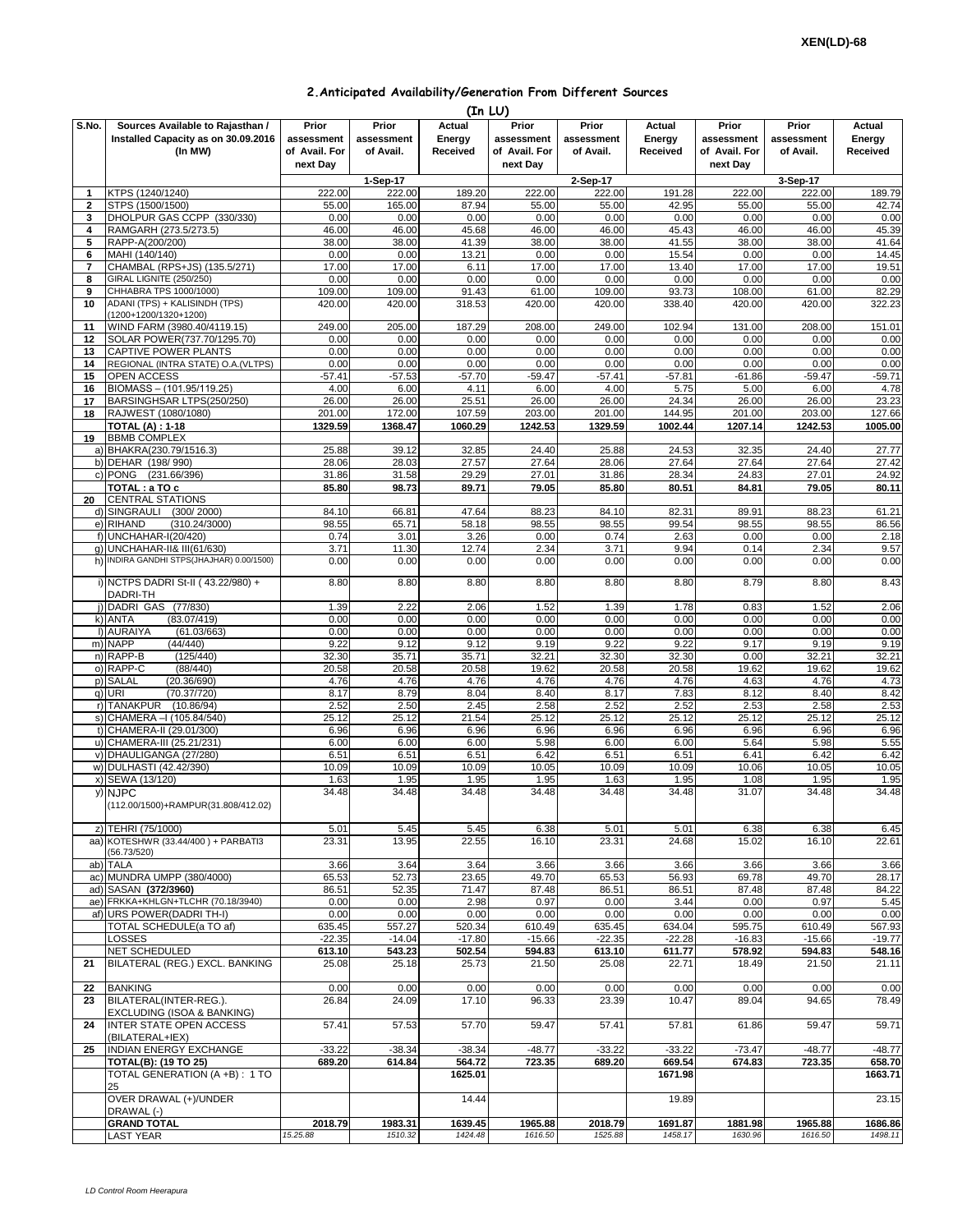| 2. Anticipated Availability/Generation From Different Sources |  |  |  |  |  |
|---------------------------------------------------------------|--|--|--|--|--|
|---------------------------------------------------------------|--|--|--|--|--|

| (In LU)        |                                                                                    |                                                  |                                  |                              |                                                  |                                  |                              |                                                  |                                  |                              |
|----------------|------------------------------------------------------------------------------------|--------------------------------------------------|----------------------------------|------------------------------|--------------------------------------------------|----------------------------------|------------------------------|--------------------------------------------------|----------------------------------|------------------------------|
| S.No.          | Sources Available to Rajasthan /<br>Installed Capacity as on 30.09.2016<br>(In MW) | Prior<br>assessment<br>of Avail. For<br>next Day | Prior<br>assessment<br>of Avail. | Actual<br>Energy<br>Received | Prior<br>assessment<br>of Avail. For<br>next Day | Prior<br>assessment<br>of Avail. | Actual<br>Energy<br>Received | Prior<br>assessment<br>of Avail. For<br>next Day | Prior<br>assessment<br>of Avail. | Actual<br>Energy<br>Received |
|                |                                                                                    |                                                  | 1-Sep-17                         |                              |                                                  | 2-Sep-17                         |                              |                                                  | 3-Sep-17                         |                              |
| 1              | KTPS (1240/1240)                                                                   | 222.00                                           | 222.00                           | 189.20                       | 222.00                                           | 222.00                           | 191.28                       | 222.00                                           | 222.00                           | 189.79                       |
| $\overline{2}$ | STPS (1500/1500)                                                                   | 55.00                                            | 165.00                           | 87.94                        | 55.00                                            | 55.00                            | 42.95                        | 55.00                                            | 55.00                            | 42.74                        |
| 3<br>4         | DHOLPUR GAS CCPP (330/330)<br>RAMGARH (273.5/273.5)                                | 0.00<br>46.00                                    | 0.00<br>46.00                    | 0.00<br>45.68                | 0.00<br>46.00                                    | 0.00<br>46.00                    | 0.00<br>45.43                | 0.00<br>46.00                                    | 0.00<br>46.00                    | 0.00<br>45.39                |
| 5              | RAPP-A(200/200)                                                                    | 38.00                                            | 38.00                            | 41.39                        | 38.00                                            | 38.00                            | 41.55                        | 38.00                                            | 38.00                            | 41.64                        |
| 6              | MAHI (140/140)                                                                     | 0.00                                             | 0.00                             | 13.21                        | 0.00                                             | 0.00                             | 15.54                        | 0.00                                             | 0.00                             | 14.45                        |
| 7              | CHAMBAL (RPS+JS) (135.5/271)                                                       | 17.00                                            | 17.00                            | 6.11                         | 17.00                                            | 17.00                            | 13.40                        | 17.00                                            | 17.00                            | 19.51                        |
| 8              | GIRAL LIGNITE (250/250)                                                            | 0.00                                             | 0.00                             | 0.00                         | 0.00                                             | 0.00                             | 0.00                         | 0.00                                             | 0.00                             | 0.00                         |
| 9              | CHHABRA TPS 1000/1000)                                                             | 109.00                                           | 109.00                           | 91.43                        | 61.00                                            | 109.00                           | 93.73                        | 108.00                                           | 61.00                            | 82.29                        |
| 10             | ADANI (TPS) + KALISINDH (TPS)<br>(1200+1200/1320+1200)                             | 420.00                                           | 420.00                           | 318.53                       | 420.00                                           | 420.00                           | 338.40                       | 420.00                                           | 420.00                           | 322.23                       |
| 11             | WIND FARM (3980.40/4119.15)                                                        | 249.00                                           | 205.00                           | 187.29                       | 208.00                                           | 249.00                           | 102.94                       | 131.00                                           | 208.00                           | 151.01                       |
| 12             | SOLAR POWER(737.70/1295.70)                                                        | 0.00                                             | 0.00                             | 0.00                         | 0.00                                             | 0.00                             | 0.00                         | 0.00                                             | 0.00                             | 0.00                         |
| 13<br>14       | CAPTIVE POWER PLANTS<br>REGIONAL (INTRA STATE) O.A.(VLTPS)                         | 0.00<br>0.00                                     | 0.00<br>0.00                     | 0.00<br>0.00                 | 0.00<br>0.00                                     | 0.00<br>0.00                     | 0.00<br>0.00                 | 0.00<br>0.00                                     | 0.00<br>0.00                     | 0.00<br>0.00                 |
| 15             | <b>OPEN ACCESS</b>                                                                 | $-57.41$                                         | $-57.53$                         | $-57.70$                     | $-59.47$                                         | $-57.41$                         | $-57.81$                     | -61.86                                           | $-59.47$                         | $-59.71$                     |
| 16             | BIOMASS - (101.95/119.25)                                                          | 4.00                                             | 6.00                             | 4.11                         | 6.00                                             | 4.00                             | 5.75                         | 5.00                                             | 6.00                             | 4.78                         |
| 17             | BARSINGHSAR LTPS(250/250)                                                          | 26.00                                            | 26.00                            | 25.51                        | 26.00                                            | 26.00                            | 24.34                        | 26.00                                            | 26.00                            | 23.23                        |
| 18             | RAJWEST (1080/1080)                                                                | 201.00                                           | 172.00                           | 107.59                       | 203.00                                           | 201.00                           | 144.95                       | 201.00                                           | 203.00                           | 127.66                       |
|                | <b>TOTAL (A): 1-18</b>                                                             | 1329.59                                          | 1368.47                          | 1060.29                      | 1242.53                                          | 1329.59                          | 1002.44                      | 1207.14                                          | 1242.53                          | 1005.00                      |
| 19             | <b>BBMB COMPLEX</b>                                                                |                                                  |                                  |                              |                                                  |                                  |                              |                                                  |                                  |                              |
|                | a) BHAKRA(230.79/1516.3)                                                           | 25.88                                            | 39.12                            | 32.85                        | 24.40                                            | 25.88                            | 24.53                        | 32.35                                            | 24.40                            | 27.77                        |
|                | b) DEHAR (198/990)                                                                 | 28.06                                            | 28.03                            | 27.57                        | 27.64                                            | 28.06                            | 27.64                        | 27.64                                            | 27.64                            | 27.42                        |
|                | c) PONG (231.66/396)<br>TOTAL : a TO c                                             | 31.86<br>85.80                                   | 31.58<br>98.73                   | 29.29<br>89.71               | 27.01<br>79.05                                   | 31.86<br>85.80                   | 28.34<br>80.51               | 24.83<br>84.81                                   | 27.01<br>79.05                   | 24.92<br>80.11               |
| 20             | <b>CENTRAL STATIONS</b>                                                            |                                                  |                                  |                              |                                                  |                                  |                              |                                                  |                                  |                              |
|                | d) SINGRAULI (300/2000)                                                            | 84.10                                            | 66.81                            | 47.64                        | 88.23                                            | 84.10                            | 82.31                        | 89.91                                            | 88.23                            | 61.21                        |
|                | e) RIHAND<br>(310.24/3000)                                                         | 98.55                                            | 65.71                            | 58.18                        | 98.55                                            | 98.55                            | 99.54                        | 98.55                                            | 98.55                            | 86.56                        |
| $f$ )          | <b>UNCHAHAR-I(20/420)</b>                                                          | 0.74                                             | 3.01                             | 3.26                         | 0.00                                             | 0.74                             | 2.63                         | 0.00                                             | 0.00                             | 2.18                         |
| g)             | <b>UNCHAHAR-II&amp; III(61/630)</b>                                                | 3.71                                             | 11.30                            | 12.74                        | 2.34                                             | 3.71                             | 9.94                         | 0.14                                             | 2.34                             | 9.57                         |
|                | h) INDIRA GANDHI STPS(JHAJHAR) 0.00/1500)                                          | 0.00                                             | 0.00                             | 0.00                         | 0.00                                             | 0.00                             | 0.00                         | 0.00                                             | 0.00                             | 0.00                         |
|                | i) NCTPS DADRI St-II (43.22/980) +<br>DADRI-TH                                     | 8.80                                             | 8.80                             | 8.80                         | 8.80                                             | 8.80                             | 8.80                         | 8.79                                             | 8.80                             | 8.43                         |
|                | j) DADRI GAS (77/830)                                                              | 1.39                                             | 2.22                             | 2.06                         | 1.52                                             | 1.39                             | 1.78                         | 0.83                                             | 1.52                             | 2.06                         |
|                | k) ANTA<br>(83.07/419)<br>I) AURAIYA                                               | 0.00<br>0.00                                     | 0.00<br>0.00                     | 0.00<br>0.00                 | 0.00<br>0.00                                     | 0.00<br>0.00                     | 0.00<br>0.00                 | 0.00                                             | 0.00<br>0.00                     | 0.00                         |
|                | (61.03/663)<br>m) NAPP<br>(44/440)                                                 | 9.22                                             | 9.12                             | 9.12                         | 9.19                                             | 9.22                             | 9.22                         | 0.00<br>9.17                                     | 9.19                             | 0.00<br>9.19                 |
|                | n) RAPP-B<br>(125/440)                                                             | 32.30                                            | 35.71                            | 35.71                        | 32.21                                            | 32.30                            | 32.30                        | 0.00                                             | 32.21                            | 32.21                        |
|                | o) RAPP-C<br>(88/440)                                                              | 20.58                                            | 20.58                            | 20.58                        | 19.62                                            | 20.58                            | 20.58                        | 19.62                                            | 19.62                            | 19.62                        |
|                | p) SALAL<br>(20.36/690)                                                            | 4.76                                             | 4.76                             | 4.76                         | 4.76                                             | 4.76                             | 4.76                         | 4.63                                             | 4.76                             | 4.73                         |
|                | q) URI<br>(70.37/720)                                                              | 8.17                                             | 8.79                             | 8.04                         | 8.40                                             | 8.17                             | 7.83                         | 8.12                                             | 8.40                             | 8.42                         |
|                | r) TANAKPUR<br>(10.86/94)                                                          | 2.52                                             | 2.50                             | 2.45                         | 2.58                                             | 2.52                             | 2.52                         | 2.53                                             | 2.58                             | 2.53                         |
|                | s) CHAMERA - (105.84/540)                                                          | 25.12                                            | 25.12                            | 21.54                        | 25.12                                            | 25.12                            | 25.12                        | 25.12                                            | 25.12                            | 25.12                        |
|                | t) CHAMERA-II (29.01/300)                                                          | 6.96                                             | 6.96                             | 6.96                         | 6.96                                             | 6.96                             | 6.96                         | 6.96                                             | 6.96                             | 6.96                         |
|                | u) CHAMERA-III (25.21/231)<br>v) DHAULIGANGA (27/280)                              | 6.00<br>6.51                                     | 6.00<br>6.51                     | 6.00<br>6.51                 | 5.98<br>6.42                                     | 6.00<br>6.51                     | 6.00<br>6.51                 | 5.64<br>6.41                                     | 5.98<br>6.42                     | 5.55<br>6.42                 |
|                | w) DULHASTI (42.42/390)                                                            | 10.09                                            | 10.09                            | 10.09                        | 10.05                                            | 10.09                            | 10.09                        | 10.06                                            | 10.05                            | 10.05                        |
|                | x) SEWA (13/120)                                                                   | 1.63                                             | 1.95                             | 1.95                         | 1.95                                             | 1.63                             | 1.95                         | 1.08                                             | 1.95                             | 1.95                         |
|                | y) NJPC<br>(112.00/1500)+RAMPUR(31.808/412.02)                                     | 34.48                                            | 34.48                            | 34.48                        | 34.48                                            | 34.48                            | 34.48                        | 31.07                                            | 34.48                            | 34.48                        |
|                | z) TEHRI (75/1000)                                                                 | 5.01                                             | 5.45                             | 5.45                         | 6.38                                             | 5.01                             | 5.01                         | 6.38                                             | 6.38                             | 6.45                         |
|                | aa) KOTESHWR (33.44/400) + PARBATI3                                                | 23.31                                            | 13.95                            | 22.55                        | 16.10                                            | 23.31                            | 24.68                        | 15.02                                            | 16.10                            | 22.61                        |
|                | (56.73/520)                                                                        |                                                  |                                  |                              |                                                  |                                  |                              |                                                  |                                  |                              |
|                | ab) TALA                                                                           | 3.66                                             | 3.64                             | 3.64                         | 3.66                                             | 3.66                             | 3.66                         | 3.66                                             | 3.66                             | 3.66                         |
|                | ac) MUNDRA UMPP (380/4000)<br>ad) SASAN (372/3960)                                 | 65.53<br>86.51                                   | 52.73<br>52.35                   | 23.65<br>71.47               | 49.70<br>87.48                                   | 65.53<br>86.51                   | 56.93<br>86.51               | 69.78<br>87.48                                   | 49.70<br>87.48                   | 28.17<br>84.22               |
|                | ae) FRKKA+KHLGN+TLCHR (70.18/3940)                                                 | 0.00                                             | 0.00                             | 2.98                         | 0.97                                             | 0.00                             | 3.44                         | 0.00                                             | 0.97                             | 5.45                         |
|                | af) URS POWER(DADRI TH-I)                                                          | 0.00                                             | 0.00                             | 0.00                         | 0.00                                             | 0.00                             | 0.00                         | 0.00                                             | 0.00                             | 0.00                         |
|                | TOTAL SCHEDULE(a TO af)                                                            | 635.45                                           | 557.27                           | 520.34                       | 610.49                                           | 635.45                           | 634.04                       | 595.75                                           | 610.49                           | 567.93                       |
|                | LOSSES                                                                             | $-22.35$                                         | $-14.04$                         | $-17.80$                     | $-15.66$                                         | $-22.35$                         | $-22.28$                     | $-16.83$                                         | $-15.66$                         | $-19.77$                     |
|                | <b>NET SCHEDULED</b>                                                               | 613.10                                           | 543.23                           | 502.54                       | 594.83                                           | 613.10                           | 611.77                       | 578.92                                           | 594.83                           | 548.16                       |
| 21             | BILATERAL (REG.) EXCL. BANKING                                                     | 25.08                                            | 25.18                            | 25.73                        | 21.50                                            | 25.08                            | 22.71                        | 18.49                                            | 21.50                            | 21.11                        |
| 22             | <b>BANKING</b>                                                                     | 0.00                                             | 0.00                             | 0.00                         | 0.00                                             | 0.00                             | 0.00                         | 0.00                                             | 0.00                             | 0.00                         |
| 23             | BILATERAL(INTER-REG.).<br>EXCLUDING (ISOA & BANKING)                               | 26.84                                            | 24.09                            | 17.10                        | 96.33                                            | 23.39                            | 10.47                        | 89.04                                            | 94.65                            | 78.49                        |
| 24             | INTER STATE OPEN ACCESS<br>(BILATERAL+IEX)                                         | 57.41                                            | 57.53                            | 57.70                        | 59.47                                            | 57.41                            | 57.81                        | 61.86                                            | 59.47                            | 59.71                        |
| 25             | INDIAN ENERGY EXCHANGE                                                             | $-33.22$                                         | $-38.34$                         | $-38.34$                     | $-48.77$                                         | $-33.22$                         | $-33.22$                     | $-73.47$                                         | $-48.77$                         | $-48.77$                     |
|                | TOTAL(B): (19 TO 25)                                                               | 689.20                                           | 614.84                           | 564.72                       | 723.35                                           | 689.20                           | 669.54                       | 674.83                                           | 723.35                           | 658.70                       |
|                | TOTAL GENERATION (A +B) : 1 TO<br>25                                               |                                                  |                                  | 1625.01                      |                                                  |                                  | 1671.98                      |                                                  |                                  | 1663.71                      |
|                | OVER DRAWAL (+)/UNDER<br>DRAWAL (-)                                                |                                                  |                                  | 14.44                        |                                                  |                                  | 19.89                        |                                                  |                                  | 23.15                        |
|                | <b>GRAND TOTAL</b>                                                                 | 2018.79                                          | 1983.31                          | 1639.45                      | 1965.88                                          | 2018.79                          | 1691.87                      | 1881.98                                          | 1965.88                          | 1686.86                      |
|                | LAST YEAR                                                                          | 15.25.88                                         | 1510.32                          | 1424.48                      | 1616.50                                          | 1525.88                          | 1458.17                      | 1630.96                                          | 1616.50                          | 1498.11                      |